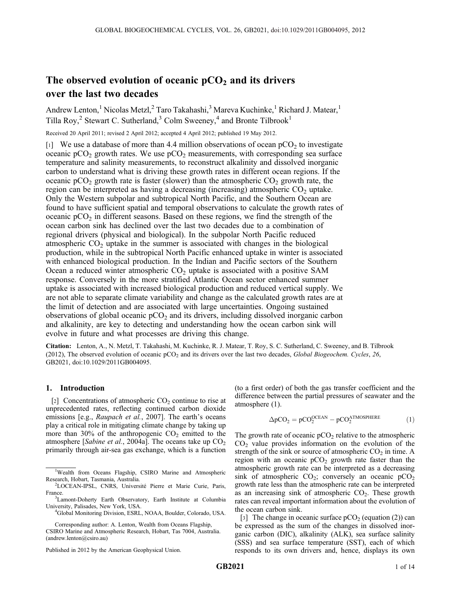# The observed evolution of oceanic  $pCO<sub>2</sub>$  and its drivers over the last two decades

Andrew Lenton,<sup>1</sup> Nicolas Metzl,<sup>2</sup> Taro Takahashi,<sup>3</sup> Mareva Kuchinke,<sup>1</sup> Richard J. Matear,<sup>1</sup> Tilla Roy,<sup>2</sup> Stewart C. Sutherland,<sup>3</sup> Colm Sweeney,<sup>4</sup> and Bronte Tilbrook<sup>1</sup>

Received 20 April 2011; revised 2 April 2012; accepted 4 April 2012; published 19 May 2012.

[1] We use a database of more than 4.4 million observations of ocean  $pCO<sub>2</sub>$  to investigate oceanic  $pCO_2$  growth rates. We use  $pCO_2$  measurements, with corresponding sea surface temperature and salinity measurements, to reconstruct alkalinity and dissolved inorganic carbon to understand what is driving these growth rates in different ocean regions. If the oceanic  $pCO_2$  growth rate is faster (slower) than the atmospheric  $CO_2$  growth rate, the region can be interpreted as having a decreasing (increasing) atmospheric  $CO<sub>2</sub>$  uptake. Only the Western subpolar and subtropical North Pacific, and the Southern Ocean are found to have sufficient spatial and temporal observations to calculate the growth rates of oceanic  $pCO<sub>2</sub>$  in different seasons. Based on these regions, we find the strength of the ocean carbon sink has declined over the last two decades due to a combination of regional drivers (physical and biological). In the subpolar North Pacific reduced atmospheric  $CO<sub>2</sub>$  uptake in the summer is associated with changes in the biological production, while in the subtropical North Pacific enhanced uptake in winter is associated with enhanced biological production. In the Indian and Pacific sectors of the Southern Ocean a reduced winter atmospheric  $CO<sub>2</sub>$  uptake is associated with a positive SAM response. Conversely in the more stratified Atlantic Ocean sector enhanced summer uptake is associated with increased biological production and reduced vertical supply. We are not able to separate climate variability and change as the calculated growth rates are at the limit of detection and are associated with large uncertainties. Ongoing sustained observations of global oceanic  $pCO<sub>2</sub>$  and its drivers, including dissolved inorganic carbon and alkalinity, are key to detecting and understanding how the ocean carbon sink will evolve in future and what processes are driving this change.

Citation: Lenton, A., N. Metzl, T. Takahashi, M. Kuchinke, R. J. Matear, T. Roy, S. C. Sutherland, C. Sweeney, and B. Tilbrook (2012), The observed evolution of oceanic  $pCO<sub>2</sub>$  and its drivers over the last two decades, *Global Biogeochem. Cycles*, 26, GB2021, doi:10.1029/2011GB004095.

# 1. Introduction

[2] Concentrations of atmospheric  $CO<sub>2</sub>$  continue to rise at unprecedented rates, reflecting continued carbon dioxide emissions [e.g., Raupach et al., 2007]. The earth's oceans play a critical role in mitigating climate change by taking up more than  $30\%$  of the anthropogenic  $CO<sub>2</sub>$  emitted to the atmosphere [Sabine et al., 2004a]. The oceans take up  $CO<sub>2</sub>$ primarily through air-sea gas exchange, which is a function

Corresponding author: A. Lenton, Wealth from Oceans Flagship, CSIRO Marine and Atmospheric Research, Hobart, Tas 7004, Australia. (andrew.lenton@csiro.au)

Published in 2012 by the American Geophysical Union.

(to a first order) of both the gas transfer coefficient and the difference between the partial pressures of seawater and the atmosphere (1).

$$
\Delta p CO_2 = p CO_2^{OCEAN} - p CO_2^{ATMOSPHERE}
$$
 (1)

The growth rate of oceanic  $pCO<sub>2</sub>$  relative to the atmospheric  $CO<sub>2</sub>$  value provides information on the evolution of the strength of the sink or source of atmospheric  $CO<sub>2</sub>$  in time. A region with an oceanic  $pCO<sub>2</sub>$  growth rate faster than the atmospheric growth rate can be interpreted as a decreasing sink of atmospheric  $CO_2$ ; conversely an oceanic  $pCO_2$ growth rate less than the atmospheric rate can be interpreted as an increasing sink of atmospheric  $CO<sub>2</sub>$ . These growth rates can reveal important information about the evolution of the ocean carbon sink.

[3] The change in oceanic surface  $pCO_2$  (equation (2)) can be expressed as the sum of the changes in dissolved inorganic carbon (DIC), alkalinity (ALK), sea surface salinity (SSS) and sea surface temperature (SST), each of which responds to its own drivers and, hence, displays its own

<sup>&</sup>lt;sup>1</sup>Wealth from Oceans Flagship, CSIRO Marine and Atmospheric Research, Hobart, Tasmania, Australia. <sup>2</sup>

<sup>&</sup>lt;sup>2</sup>LOCEAN-IPSL, CNRS, Université Pierre et Marie Curie, Paris, France.

<sup>&</sup>lt;sup>3</sup>Lamont-Doherty Earth Observatory, Earth Institute at Columbia University, Palisades, New York, USA. <sup>4</sup>

<sup>&</sup>lt;sup>4</sup>Global Monitoring Division, ESRL, NOAA, Boulder, Colorado, USA.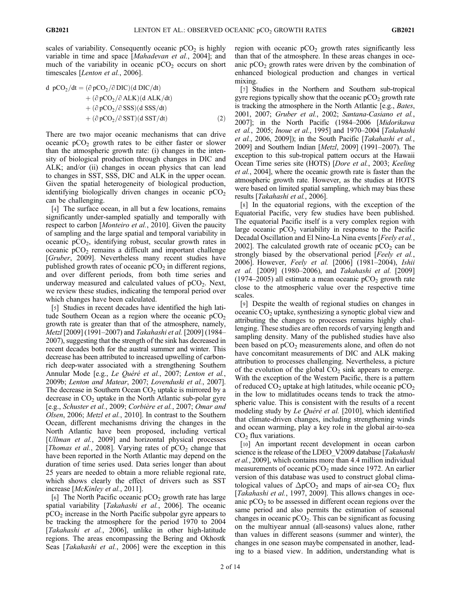scales of variability. Consequently oceanic  $pCO<sub>2</sub>$  is highly variable in time and space [Mahadevan et al., 2004]; and much of the variability in oceanic  $pCO<sub>2</sub>$  occurs on short timescales [Lenton et al., 2006].

d 
$$
pCO_2/dt = (\partial pCO_2/\partial DIC)(d DIC/dt)
$$
  
+  $(\partial pCO_2/\partial ALK)(d ALK/dt)$   
+  $(\partial pCO_2/\partial SSS)(d SSS/dt)$   
+  $(\partial pCO_2/\partial SST)(d SST/dt)$  (2)

There are two major oceanic mechanisms that can drive oceanic  $pCO<sub>2</sub>$  growth rates to be either faster or slower than the atmospheric growth rate: (i) changes in the intensity of biological production through changes in DIC and ALK; and/or (ii) changes in ocean physics that can lead to changes in SST, SSS, DIC and ALK in the upper ocean. Given the spatial heterogeneity of biological production, identifying biologically driven changes in oceanic  $pCO<sub>2</sub>$ can be challenging.

[4] The surface ocean, in all but a few locations, remains significantly under-sampled spatially and temporally with respect to carbon [*Monteiro et al.*, 2010]. Given the paucity of sampling and the large spatial and temporal variability in oceanic  $pCO<sub>2</sub>$ , identifying robust, secular growth rates in oceanic  $pCO<sub>2</sub>$  remains a difficult and important challenge [Gruber, 2009]. Nevertheless many recent studies have published growth rates of oceanic  $pCO<sub>2</sub>$  in different regions, and over different periods, from both time series and underway measured and calculated values of  $pCO<sub>2</sub>$ . Next, we review these studies, indicating the temporal period over which changes have been calculated.

[5] Studies in recent decades have identified the high latitude Southern Ocean as a region where the oceanic  $pCO<sub>2</sub>$ growth rate is greater than that of the atmosphere, namely, Metzl [2009] (1991–2007) and Takahashi et al. [2009] (1984– 2007), suggesting that the strength of the sink has decreased in recent decades both for the austral summer and winter. This decrease has been attributed to increased upwelling of carbonrich deep-water associated with a strengthening Southern Annular Mode [e.g., Le Quéré et al., 2007; Lenton et al., 2009b; Lenton and Matear, 2007; Lovenduski et al., 2007]. The decrease in Southern Ocean  $CO<sub>2</sub>$  uptake is mirrored by a decrease in  $CO<sub>2</sub>$  uptake in the North Atlantic sub-polar gyre [e.g., Schuster et al., 2009; Corbière et al., 2007; Omar and Olsen, 2006; Metzl et al., 2010]. In contrast to the Southern Ocean, different mechanisms driving the changes in the North Atlantic have been proposed, including vertical [*Ullman et al.*, 2009] and horizontal physical processes [*Thomas et al.*, 2008]. Varying rates of  $pCO<sub>2</sub>$  change that have been reported in the North Atlantic may depend on the duration of time series used. Data series longer than about 25 years are needed to obtain a more reliable regional rate, which shows clearly the effect of drivers such as SST increase [McKinley et al., 2011].

[6] The North Pacific oceanic  $pCO<sub>2</sub>$  growth rate has large spatial variability [Takahashi et al., 2006]. The oceanic  $pCO<sub>2</sub>$  increase in the North Pacific subpolar gyre appears to be tracking the atmosphere for the period 1970 to 2004 [Takahashi et al., 2006], unlike in other high-latitude regions. The areas encompassing the Bering and Okhostk Seas [Takahashi et al., 2006] were the exception in this region with oceanic  $pCO<sub>2</sub>$  growth rates significantly less than that of the atmosphere. In these areas changes in oceanic  $pCO<sub>2</sub>$  growth rates were driven by the combination of enhanced biological production and changes in vertical mixing.

[7] Studies in the Northern and Southern sub-tropical gyre regions typically show that the oceanic  $pCO<sub>2</sub>$  growth rate is tracking the atmosphere in the North Atlantic [e.g., Bates, 2001, 2007; Gruber et al., 2002; Santana-Casiano et al., 2007]; in the North Pacific (1984–2006 [Midorikawa et al., 2005; Inoue et al., 1995] and 1970–2004 [Takahashi et al., 2006, 2009]); in the South Pacific [Takahashi et al., 2009] and Southern Indian [Metzl, 2009] (1991–2007). The exception to this sub-tropical pattern occurs at the Hawaii Ocean Time series site (HOTS) [Dore et al., 2003; Keeling et al., 2004], where the oceanic growth rate is faster than the atmospheric growth rate. However, as the studies at HOTS were based on limited spatial sampling, which may bias these results [Takahashi et al., 2006].

[8] In the equatorial regions, with the exception of the Equatorial Pacific, very few studies have been published. The equatorial Pacific itself is a very complex region with large oceanic  $pCO<sub>2</sub>$  variability in response to the Pacific Decadal Oscillation and El Nino-La Nina events [*Feely et al.*, 2002]. The calculated growth rate of oceanic  $pCO<sub>2</sub>$  can be strongly biased by the observational period [Feely et al., 2006]. However, Feely et al. [2006] (1981–2004), Ishii et al. [2009] (1980–2006), and Takahashi et al. [2009] (1974–2005) all estimate a mean oceanic  $pCO<sub>2</sub>$  growth rate close to the atmospheric value over the respective time scales.

[9] Despite the wealth of regional studies on changes in oceanic  $CO<sub>2</sub>$  uptake, synthesizing a synoptic global view and attributing the changes to processes remains highly challenging. These studies are often records of varying length and sampling density. Many of the published studies have also been based on  $pCO<sub>2</sub>$  measurements alone, and often do not have concomitant measurements of DIC and ALK making attribution to processes challenging. Nevertheless, a picture of the evolution of the global  $CO<sub>2</sub>$  sink appears to emerge. With the exception of the Western Pacific, there is a pattern of reduced  $CO<sub>2</sub>$  uptake at high latitudes, while oceanic  $pCO<sub>2</sub>$ in the low to midlatitudes oceans tends to track the atmospheric value. This is consistent with the results of a recent modeling study by *Le Ouéré et al.* [2010], which identified that climate-driven changes, including strengthening winds and ocean warming, play a key role in the global air-to-sea  $CO<sub>2</sub>$  flux variations.

[10] An important recent development in ocean carbon science is the release of the LDEO V2009 database [Takahashi et al., 2009], which contains more than 4.4 million individual measurements of oceanic  $pCO<sub>2</sub>$  made since 1972. An earlier version of this database was used to construct global climatological values of  $\Delta pCO_2$  and maps of air-sea  $CO_2$  flux [Takahashi et al., 1997, 2009]. This allows changes in oceanic  $pCO<sub>2</sub>$  to be assessed in different ocean regions over the same period and also permits the estimation of seasonal changes in oceanic  $pCO<sub>2</sub>$ . This can be significant as focusing on the multiyear annual (all-seasons) values alone, rather than values in different seasons (summer and winter), the changes in one season maybe compensated in another, leading to a biased view. In addition, understanding what is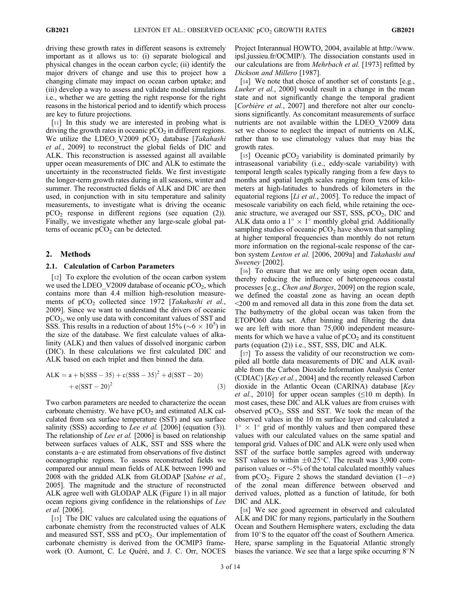driving these growth rates in different seasons is extremely important as it allows us to: (i) separate biological and physical changes in the ocean carbon cycle; (ii) identify the major drivers of change and use this to project how a changing climate may impact on ocean carbon uptake; and (iii) develop a way to assess and validate model simulations i.e., whether we are getting the right response for the right reasons in the historical period and to identify which process are key to future projections.

[11] In this study we are interested in probing what is driving the growth rates in oceanic  $pCO<sub>2</sub>$  in different regions. We utilize the LDEO\_V2009  $pCO<sub>2</sub>$  database [Takahashi et al., 2009] to reconstruct the global fields of DIC and ALK. This reconstruction is assessed against all available upper ocean measurements of DIC and ALK to estimate the uncertainty in the reconstructed fields. We first investigate the longer-term growth rates during in all seasons, winter and summer. The reconstructed fields of ALK and DIC are then used, in conjunction with in situ temperature and salinity measurements, to investigate what is driving the oceanic  $pCO<sub>2</sub>$  response in different regions (see equation (2)). Finally, we investigate whether any large-scale global patterns of oceanic  $pCO<sub>2</sub>$  can be detected.

## 2. Methods

## 2.1. Calculation of Carbon Parameters

[12] To explore the evolution of the ocean carbon system we used the LDEO\_V2009 database of oceanic  $pCO<sub>2</sub>$ , which contains more than 4.4 million high-resolution measurements of  $pCO<sub>2</sub>$  collected since 1972 [Takahashi et al., 2009]. Since we want to understand the drivers of oceanic pCO2, we only use data with concomitant values of SST and SSS. This results in a reduction of about 15% ( $\sim 6 \times 10^5$ ) in the size of the database. We first calculate values of alkalinity (ALK) and then values of dissolved inorganic carbon (DIC). In these calculations we first calculated DIC and ALK based on each triplet and then binned the data.

$$
ALK = a + b(SSS - 35) + c(SSS - 35)^{2} + d(SST - 20)
$$
  
+ e(SST - 20)<sup>2</sup> (3)

Two carbon parameters are needed to characterize the ocean carbonate chemistry. We have  $pCO<sub>2</sub>$  and estimated ALK calculated from sea surface temperature (SST) and sea surface salinity (SSS) according to Lee et al. [2006] (equation (3)). The relationship of *Lee et al.* [2006] is based on relationship between surfaces values of ALK, SST and SSS where the constants a–e are estimated from observations of five distinct oceanographic regions. To assess reconstructed fields we compared our annual mean fields of ALK between 1990 and 2008 with the gridded ALK from GLODAP [Sabine et al., 2005]. The magnitude and the structure of reconstructed ALK agree well with GLODAP ALK (Figure 1) in all major ocean regions giving confidence in the relationships of Lee et al. [2006].

[13] The DIC values are calculated using the equations of carbonate chemistry from the reconstructed values of ALK and measured SST, SSS and  $pCO<sub>2</sub>$ . Our implementation of carbonate chemistry is derived from the OCMIP3 framework (O. Aumont, C. Le Quéré, and J. C. Orr, NOCES

Project Interannual HOWTO, 2004, available at http://www. ipsl.jussieu.fr/OCMIP/). The dissociation constants used in our calculations are from *Mehrbach et al.* [1973] refitted by Dickson and Millero [1987].

[14] We note that choice of another set of constants [e.g., Lueker et al., 2000] would result in a change in the mean state and not significantly change the temporal gradient [*Corbière et al.*, 2007] and therefore not alter our conclusions significantly. As concomitant measurements of surface nutrients are not available within the LDEO\_V2009 data set we choose to neglect the impact of nutrients on ALK, rather than to use climatology values that may bias the growth rates.

[15] Oceanic  $pCO<sub>2</sub>$  variability is dominated primarily by intraseasonal variability (i.e., eddy-scale variability) with temporal length scales typically ranging from a few days to months and spatial length scales ranging from tens of kilometers at high-latitudes to hundreds of kilometers in the equatorial regions  $[L<sub>i</sub> et al., 2005]$ . To reduce the impact of mesoscale variability on each field, while retaining the oceanic structure, we averaged our SST, SSS,  $pCO<sub>2</sub>$ , DIC and ALK data onto a  $1^{\circ} \times 1^{\circ}$  monthly global grid. Additionally sampling studies of oceanic  $pCO<sub>2</sub>$  have shown that sampling at higher temporal frequencies than monthly do not return more information on the regional-scale response of the carbon system Lenton et al. [2006, 2009a] and Takahashi and Sweeney [2002].

[16] To ensure that we are only using open ocean data, thereby reducing the influence of heterogeneous coastal processes [e.g., Chen and Borges, 2009] on the region scale, we defined the coastal zone as having an ocean depth <200 m and removed all data in this zone from the data set. The bathymetry of the global ocean was taken from the ETOPO60 data set. After binning and filtering the data we are left with more than 75,000 independent measurements for which we have a value of  $pCO<sub>2</sub>$  and its constituent parts (equation (2)) i.e., SST, SSS, DIC and ALK.

[17] To assess the validity of our reconstruction we compiled all bottle data measurements of DIC and ALK available from the Carbon Dioxide Information Analysis Center (CDIAC) [Key et al., 2004] and the recently released Carbon dioxide in the Atlantic Ocean (CARINA) database [Key *et al.*, 2010] for upper ocean samples ( $\leq 10$  m depth). In most cases, these DIC and ALK values are from cruises with observed  $pCO<sub>2</sub>$ , SSS and SST. We took the mean of the observed values in the 10 m surface layer and calculated a  $1^{\circ} \times 1^{\circ}$  grid of monthly values and then compared these values with our calculated values on the same spatial and temporal grid. Values of DIC and ALK were only used when SST of the surface bottle samples agreed with underway SST values to within  $\pm 0.25^{\circ}$ C. The result was 3,900 comparison values or  $\sim$  5% of the total calculated monthly values from pCO<sub>2</sub>. Figure 2 shows the standard deviation  $(1-\sigma)$ of the zonal mean difference between observed and derived values, plotted as a function of latitude, for both DIC and ALK.

[18] We see good agreement in observed and calculated ALK and DIC for many regions, particularly in the Southern Ocean and Southern Hemisphere waters, excluding the data from  $10^{\circ}$ S to the equator off the coast of Southern America. Here, sparse sampling in the Equatorial Atlantic strongly biases the variance. We see that a large spike occurring  $8^\circ$ N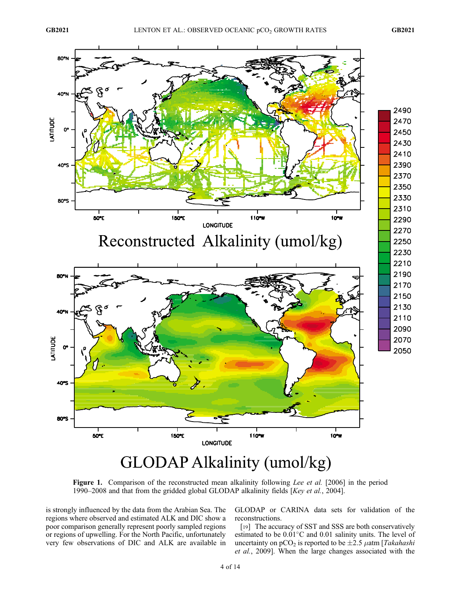

Figure 1. Comparison of the reconstructed mean alkalinity following Lee et al. [2006] in the period 1990–2008 and that from the gridded global GLODAP alkalinity fields [Key et al., 2004].

is strongly influenced by the data from the Arabian Sea. The regions where observed and estimated ALK and DIC show a poor comparison generally represent poorly sampled regions or regions of upwelling. For the North Pacific, unfortunately very few observations of DIC and ALK are available in

GLODAP or CARINA data sets for validation of the reconstructions.

[19] The accuracy of SST and SSS are both conservatively estimated to be  $0.01^{\circ}$ C and  $0.01$  salinity units. The level of uncertainty on  $pCO_2$  is reported to be  $\pm 2.5$   $\mu$ atm [Takahashi et al., 2009]. When the large changes associated with the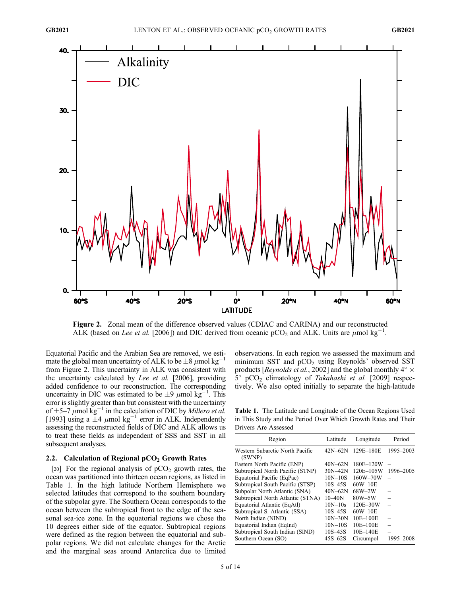

Figure 2. Zonal mean of the difference observed values (CDIAC and CARINA) and our reconstructed ALK (based on Lee et al. [2006]) and DIC derived from oceanic pCO<sub>2</sub> and ALK. Units are  $\mu$ mol kg<sup>-1</sup>.

Equatorial Pacific and the Arabian Sea are removed, we estimate the global mean uncertainty of ALK to be  $\pm 8 \ \mu$  mol kg<sup>-1</sup> from Figure 2. This uncertainty in ALK was consistent with the uncertainty calculated by Lee et al. [2006], providing added confidence to our reconstruction. The corresponding uncertainty in DIC was estimated to be  $\pm 9 \ \mu$ mol kg<sup>-1</sup>. This error is slightly greater than but consistent with the uncertainty of  $\pm$  5–7  $\mu$ mol kg<sup>-1</sup> in the calculation of DIC by *Millero et al.* [1993] using a  $\pm 4$   $\mu$ mol kg<sup>-1</sup> error in ALK. Independently assessing the reconstructed fields of DIC and ALK allows us to treat these fields as independent of SSS and SST in all subsequent analyses.

## 2.2. Calculation of Regional  $pCO<sub>2</sub>$  Growth Rates

[20] For the regional analysis of  $pCO<sub>2</sub>$  growth rates, the ocean was partitioned into thirteen ocean regions, as listed in Table 1. In the high latitude Northern Hemisphere we selected latitudes that correspond to the southern boundary of the subpolar gyre. The Southern Ocean corresponds to the ocean between the subtropical front to the edge of the seasonal sea-ice zone. In the equatorial regions we chose the 10 degrees either side of the equator. Subtropical regions were defined as the region between the equatorial and subpolar regions. We did not calculate changes for the Arctic and the marginal seas around Antarctica due to limited

observations. In each region we assessed the maximum and minimum SST and  $pCO<sub>2</sub>$  using Reynolds' observed SST products [*Reynolds et al.*, 2002] and the global monthly  $4^{\circ} \times$  $5^{\circ}$  pCO<sub>2</sub> climatology of Takahashi et al. [2009] respectively. We also opted initially to separate the high-latitude

Table 1. The Latitude and Longitude of the Ocean Regions Used in This Study and the Period Over Which Growth Rates and Their Drivers Are Assessed

| Region                                    | Latitude    | Longitude     | Period    |
|-------------------------------------------|-------------|---------------|-----------|
| Western Subarctic North Pacific<br>(SWNP) | $42N - 62N$ | 129E-180E     | 1995-2003 |
| Eastern North Pacific (ENP)               | $40N - 62N$ | 180E-120W     |           |
| Subtropical North Pacific (STNP)          | $30N - 42N$ | $120E - 105W$ | 1996-2005 |
| Equatorial Pacific (EqPac)                | $10N - 10S$ | $160W - 70W$  |           |
| Subtropical South Pacific (STSP)          | $10S - 45S$ | $60W-10E$     |           |
| Subpolar North Atlantic (SNA)             | $40N - 62N$ | $68W-2W$      |           |
| Subtropical North Atlantic (STNA)         | $10 - 40N$  | $80W - 5W$    |           |
| Equatorial Atlantic (EqAtl)               | $10N - 10s$ | 120E-30W      |           |
| Subtropical S. Atlantic (SSA)             | $10S - 45S$ | $60W-10E$     |           |
| North Indian (NIND)                       | $10N-30N$   | $10E-100E$    |           |
| Equatorial Indian (EqInd)                 | $10N - 10S$ | $10E-100E$    |           |
| Subtropical South Indian (SIND)           | $10S - 45S$ | $10E - 140E$  |           |
| Southern Ocean (SO)                       | $45S - 62S$ | Circumpol     | 1995–2008 |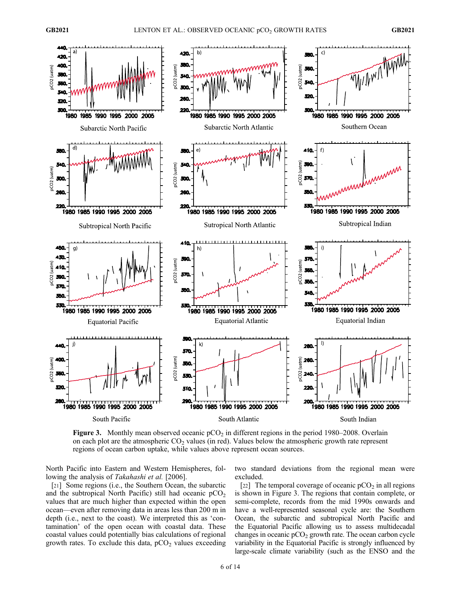

**Figure 3.** Monthly mean observed oceanic  $pCO<sub>2</sub>$  in different regions in the period 1980–2008. Overlain on each plot are the atmospheric  $CO<sub>2</sub>$  values (in red). Values below the atmospheric growth rate represent regions of ocean carbon uptake, while values above represent ocean sources.

North Pacific into Eastern and Western Hemispheres, following the analysis of Takahashi et al. [2006].

[21] Some regions (i.e., the Southern Ocean, the subarctic and the subtropical North Pacific) still had oceanic  $pCO<sub>2</sub>$ values that are much higher than expected within the open ocean—even after removing data in areas less than 200 m in depth (i.e., next to the coast). We interpreted this as 'contamination' of the open ocean with coastal data. These coastal values could potentially bias calculations of regional growth rates. To exclude this data,  $pCO<sub>2</sub>$  values exceeding two standard deviations from the regional mean were excluded.

[22] The temporal coverage of oceanic  $pCO<sub>2</sub>$  in all regions is shown in Figure 3. The regions that contain complete, or semi-complete, records from the mid 1990s onwards and have a well-represented seasonal cycle are: the Southern Ocean, the subarctic and subtropical North Pacific and the Equatorial Pacific allowing us to assess multidecadal changes in oceanic  $pCO<sub>2</sub>$  growth rate. The ocean carbon cycle variability in the Equatorial Pacific is strongly influenced by large-scale climate variability (such as the ENSO and the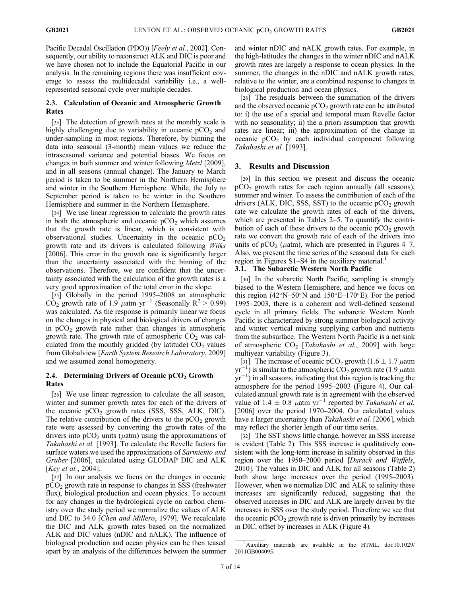Pacific Decadal Oscillation (PDO)) [Feely et al., 2002]. Consequently, our ability to reconstruct ALK and DIC is poor and we have chosen not to include the Equatorial Pacific in our analysis. In the remaining regions there was insufficient coverage to assess the multidecadal variability i.e., a wellrepresented seasonal cycle over multiple decades.

# 2.3. Calculation of Oceanic and Atmospheric Growth Rates

[23] The detection of growth rates at the monthly scale is highly challenging due to variability in oceanic  $pCO<sub>2</sub>$  and under-sampling in most regions. Therefore, by binning the data into seasonal (3-month) mean values we reduce the intraseasonal variance and potential biases. We focus on changes in both summer and winter following Metzl [2009], and in all seasons (annual change). The January to March period is taken to be summer in the Northern Hemisphere and winter in the Southern Hemisphere. While, the July to September period is taken to be winter in the Southern Hemisphere and summer in the Northern Hemisphere.

[24] We use linear regression to calculate the growth rates in both the atmospheric and oceanic  $pCO<sub>2</sub>$  which assumes that the growth rate is linear, which is consistent with observational studies. Uncertainty in the oceanic  $pCO<sub>2</sub>$ growth rate and its drivers is calculated following Wilks [2006]. This error in the growth rate is significantly larger than the uncertainty associated with the binning of the observations. Therefore, we are confident that the uncertainty associated with the calculation of the growth rates is a very good approximation of the total error in the slope.

[25] Globally in the period 1995–2008 an atmospheric  $CO<sub>2</sub>$  growth rate of 1.9  $\mu$ atm yr<sup>-1</sup> (Seasonally R<sup>2</sup> > 0.99) was calculated. As the response is primarily linear we focus on the changes in physical and biological drivers of changes in  $pCO<sub>2</sub>$  growth rate rather than changes in atmospheric growth rate. The growth rate of atmospheric  $CO<sub>2</sub>$  was calculated from the monthly gridded (by latitude)  $CO<sub>2</sub>$  values from Globalview [Earth System Research Laboratory, 2009] and we assumed zonal homogeneity.

# 2.4. Determining Drivers of Oceanic  $pCO<sub>2</sub>$  Growth Rates

[26] We use linear regression to calculate the all season, winter and summer growth rates for each of the drivers of the oceanic  $pCO<sub>2</sub>$  growth rates (SSS, SSS, ALK, DIC). The relative contribution of the drivers to the  $pCO<sub>2</sub>$  growth rate were assessed by converting the growth rates of the drivers into  $pCO<sub>2</sub>$  units ( $\mu$ atm) using the approximations of Takahashi et al. [1993]. To calculate the Revelle factors for surface waters we used the approximations of *Sarmiento and* Gruber [2006], calculated using GLODAP DIC and ALK [*Key et al., 2004*].

[27] In our analysis we focus on the changes in oceanic  $pCO<sub>2</sub>$  growth rate in response to changes in SSS (freshwater flux), biological production and ocean physics. To account for any changes in the hydrological cycle on carbon chemistry over the study period we normalize the values of ALK and DIC to 34.0 [Chen and Millero, 1979]. We recalculate the DIC and ALK growth rates based on the normalized ALK and DIC values (nDIC and nALK). The influence of biological production and ocean physics can be then teased apart by an analysis of the differences between the summer

and winter nDIC and nALK growth rates. For example, in the high-latitudes the changes in the winter nDIC and nALK growth rates are largely a response to ocean physics. In the summer, the changes in the nDIC and nALK growth rates, relative to the winter, are a combined response to changes in biological production and ocean physics.

[28] The residuals between the summation of the drivers and the observed oceanic  $pCO<sub>2</sub>$  growth rate can be attributed to: i) the use of a spatial and temporal mean Revelle factor with no seasonality; ii) the a priori assumption that growth rates are linear; iii) the approximation of the change in oceanic  $pCO<sub>2</sub>$  by each individual component following Takahashi et al. [1993].

# 3. Results and Discussion

[29] In this section we present and discuss the oceanic  $pCO<sub>2</sub>$  growth rates for each region annually (all seasons), summer and winter. To assess the contribution of each of the drivers (ALK, DIC, SSS, SST) to the oceanic  $pCO<sub>2</sub>$  growth rate we calculate the growth rates of each of the drivers, which are presented in Tables 2–5. To quantify the contribution of each of these drivers to the oceanic  $pCO<sub>2</sub>$  growth rate we convert the growth rate of each of the drivers into units of  $pCO<sub>2</sub>$  ( $\mu$ atm), which are presented in Figures 4–7. Also, we present the time series of the seasonal data for each region in Figures  $S1-S4$  in the auxiliary material.<sup>1</sup>

# 3.1. The Subarctic Western North Pacific

[30] In the subarctic North Pacific, sampling is strongly biased to the Western Hemisphere, and hence we focus on this region  $(42^{\circ}N-50^{\circ}N$  and  $150^{\circ}E-170^{\circ}E$ ). For the period 1995–2003, there is a coherent and well-defined seasonal cycle in all primary fields. The subarctic Western North Pacific is characterized by strong summer biological activity and winter vertical mixing supplying carbon and nutrients from the subsurface. The Western North Pacific is a net sink of atmospheric  $CO<sub>2</sub>$  [Takahashi et al., 2009] with large multiyear variability (Figure 3).

[31] The increase of oceanic pCO<sub>2</sub> growth (1.6  $\pm$  1.7  $\mu$ atm  $\text{yr}^{-1}$ ) is similar to the atmospheric  $\overline{\text{CO}}_2$  growth rate (1.9 µ atm  $y(r^{-1})$  in all seasons, indicating that this region is tracking the atmosphere for the period 1995–2003 (Figure 4). Our calculated annual growth rate is in agreement with the observed value of 1.4  $\pm$  0.8  $\mu$ atm yr<sup>-1</sup> reported by *Takahashi et al.* [2006] over the period 1970–2004. Our calculated values have a larger uncertainty than *Takahashi et al.* [2006], which may reflect the shorter length of our time series.

[32] The SST shows little change, however an SSS increase is evident (Table 2). This SSS increase is qualitatively consistent with the long-term increase in salinity observed in this region over the 1950–2000 period [Durack and Wijffels, 2010]. The values in DIC and ALK for all seasons (Table 2) both show large increases over the period (1995–2003). However, when we normalize DIC and ALK to salinity these increases are significantly reduced, suggesting that the observed increases in DIC and ALK are largely driven by the increases in SSS over the study period. Therefore we see that the oceanic  $pCO<sub>2</sub>$  growth rate is driven primarily by increases in DIC, offset by increases in ALK (Figure 4).

<sup>&</sup>lt;sup>1</sup>Auxiliary materials are available in the HTML. doi:10.1029/ 2011GB004095.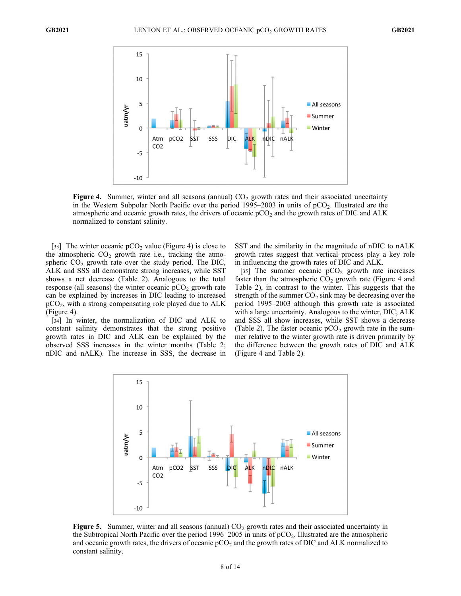

**Figure 4.** Summer, winter and all seasons (annual)  $CO<sub>2</sub>$  growth rates and their associated uncertainty in the Western Subpolar North Pacific over the period  $1995-2003$  in units of  $pCO<sub>2</sub>$ . Illustrated are the atmospheric and oceanic growth rates, the drivers of oceanic  $pCO<sub>2</sub>$  and the growth rates of DIC and ALK normalized to constant salinity.

[33] The winter oceanic  $pCO<sub>2</sub>$  value (Figure 4) is close to the atmospheric  $CO<sub>2</sub>$  growth rate i.e., tracking the atmospheric  $CO<sub>2</sub>$  growth rate over the study period. The DIC, ALK and SSS all demonstrate strong increases, while SST shows a net decrease (Table 2). Analogous to the total response (all seasons) the winter oceanic  $pCO<sub>2</sub>$  growth rate can be explained by increases in DIC leading to increased  $pCO<sub>2</sub>$ , with a strong compensating role played due to ALK (Figure 4).

[34] In winter, the normalization of DIC and ALK to constant salinity demonstrates that the strong positive growth rates in DIC and ALK can be explained by the observed SSS increases in the winter months (Table 2; nDIC and nALK). The increase in SSS, the decrease in SST and the similarity in the magnitude of nDIC to nALK growth rates suggest that vertical process play a key role in influencing the growth rates of DIC and ALK.

[35] The summer oceanic  $pCO<sub>2</sub>$  growth rate increases faster than the atmospheric  $CO<sub>2</sub>$  growth rate (Figure 4 and Table 2), in contrast to the winter. This suggests that the strength of the summer  $CO<sub>2</sub>$  sink may be decreasing over the period 1995–2003 although this growth rate is associated with a large uncertainty. Analogous to the winter, DIC, ALK and SSS all show increases, while SST shows a decrease (Table 2). The faster oceanic  $pCO<sub>2</sub>$  growth rate in the summer relative to the winter growth rate is driven primarily by the difference between the growth rates of DIC and ALK (Figure 4 and Table 2).



**Figure 5.** Summer, winter and all seasons (annual)  $CO<sub>2</sub>$  growth rates and their associated uncertainty in the Subtropical North Pacific over the period 1996–2005 in units of  $pCO<sub>2</sub>$ . Illustrated are the atmospheric and oceanic growth rates, the drivers of oceanic  $pCO<sub>2</sub>$  and the growth rates of DIC and ALK normalized to constant salinity.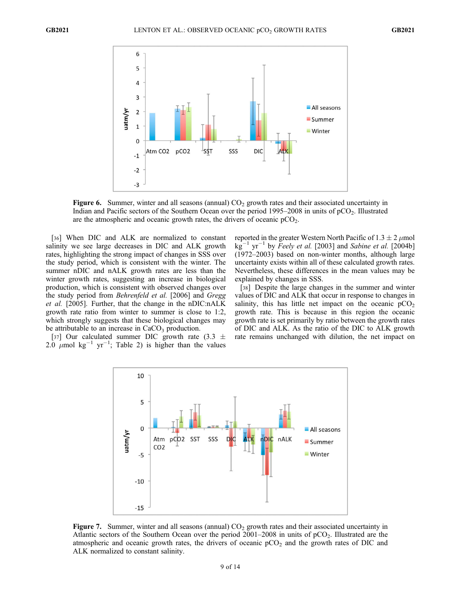

Figure 6. Summer, winter and all seasons (annual)  $CO<sub>2</sub>$  growth rates and their associated uncertainty in Indian and Pacific sectors of the Southern Ocean over the period  $1995-2008$  in units of  $pCO<sub>2</sub>$ . Illustrated are the atmospheric and oceanic growth rates, the drivers of oceanic  $pCO<sub>2</sub>$ .

[36] When DIC and ALK are normalized to constant salinity we see large decreases in DIC and ALK growth rates, highlighting the strong impact of changes in SSS over the study period, which is consistent with the winter. The summer nDIC and nALK growth rates are less than the winter growth rates, suggesting an increase in biological production, which is consistent with observed changes over the study period from Behrenfeld et al. [2006] and Gregg et al. [2005]. Further, that the change in the nDIC:nALK growth rate ratio from winter to summer is close to 1:2, which strongly suggests that these biological changes may be attributable to an increase in  $CaCO<sub>3</sub>$  production.

[37] Our calculated summer DIC growth rate (3.3  $\pm$ 2.0  $\mu$ mol kg<sup>-1</sup> yr<sup>-1</sup>; Table 2) is higher than the values

reported in the greater Western North Pacific of  $1.3 \pm 2 \ \mu$ mol  $\text{kg}^{-1}$  yr<sup>-1</sup> by *Feely et al.* [2003] and *Sabine et al.* [2004b] (1972–2003) based on non-winter months, although large uncertainty exists within all of these calculated growth rates. Nevertheless, these differences in the mean values may be explained by changes in SSS.

[38] Despite the large changes in the summer and winter values of DIC and ALK that occur in response to changes in salinity, this has little net impact on the oceanic  $pCO<sub>2</sub>$ growth rate. This is because in this region the oceanic growth rate is set primarily by ratio between the growth rates of DIC and ALK. As the ratio of the DIC to ALK growth rate remains unchanged with dilution, the net impact on



**Figure 7.** Summer, winter and all seasons (annual)  $CO<sub>2</sub>$  growth rates and their associated uncertainty in Atlantic sectors of the Southern Ocean over the period  $2001-2008$  in units of  $pCO<sub>2</sub>$ . Illustrated are the atmospheric and oceanic growth rates, the drivers of oceanic  $pCO<sub>2</sub>$  and the growth rates of DIC and ALK normalized to constant salinity.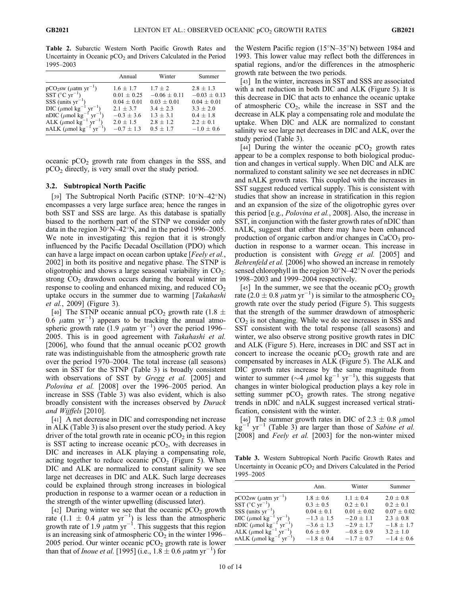Table 2. Subarctic Western North Pacific Growth Rates and Uncertainty in Oceanic  $pCO<sub>2</sub>$  and Drivers Calculated in the Period 1995–2003

|                                                      | Annual          | Winter           | Summer           |
|------------------------------------------------------|-----------------|------------------|------------------|
| $pCO2sw (\mu atm yr^{-1})$                           | $1.6 + 1.7$     | $1.7 + 2$        | $2.8 \pm 1.3$    |
| SST $(^{\circ}C \text{ yr}^{-1})$                    | $0.01 + 0.25$   | $-0.06 \pm 0.11$ | $-0.03 \pm 0.13$ |
| $SSS$ (units $yr^{-1}$ )                             | $0.04 \pm 0.01$ | $0.03 \pm 0.01$  | $0.04 + 0.01$    |
| DIC ( $\mu$ mol kg <sup>-1</sup>                     | $2.1 + 3.7$     | $3.4 + 2.3$      | $3.3 + 2.0$      |
| nDIC ( $\mu$ mol kg <sup>-1</sup> yr <sup>-1</sup>   | $-0.3 \pm 3.6$  | $1.3 \pm 3.1$    | $0.4 + 1.8$      |
| ALK ( $\mu$ mol kg <sup>-1</sup> yr <sup>-1</sup> )  | $2.0 + 1.5$     | $2.8 + 1.2$      | $2.2 \pm 0.1$    |
| nALK ( $\mu$ mol kg <sup>-1</sup> yr <sup>-1</sup> ) | $-0.7 \pm 1.3$  | $0.5 + 1.7$      | $-1.0 \pm 0.6$   |

oceanic  $pCO<sub>2</sub>$  growth rate from changes in the SSS, and  $pCO<sub>2</sub>$  directly, is very small over the study period.

#### 3.2. Subtropical North Pacific

[39] The Subtropical North Pacific (STNP:  $10^{\circ}N-42^{\circ}N$ ) encompasses a very large surface area; hence the ranges in both SST and SSS are large. As this database is spatially biased to the northern part of the STNP we consider only data in the region  $30^{\circ}$ N–42°N, and in the period 1996–2005. We note in investigating this region that it is strongly influenced by the Pacific Decadal Oscillation (PDO) which can have a large impact on ocean carbon uptake [Feely et al., 2002] in both its positive and negative phase. The STNP is oligotrophic and shows a large seasonal variability in  $CO_2$ : strong  $CO<sub>2</sub>$  drawdown occurs during the boreal winter in response to cooling and enhanced mixing, and reduced  $CO<sub>2</sub>$ uptake occurs in the summer due to warming [Takahashi et al., 2009] (Figure 3).

[40] The STNP oceanic annual pCO<sub>2</sub> growth rate (1.8  $\pm$ 0.6  $\mu$ atm yr<sup>-1</sup>) appears to be tracking the annual atmospheric growth rate (1.9  $\mu$ atm yr<sup>-1</sup>) over the period 1996– 2005. This is in good agreement with Takahashi et al. [2006], who found that the annual oceanic pCO2 growth rate was indistinguishable from the atmospheric growth rate over the period 1970–2004. The total increase (all seasons) seen in SST for the STNP (Table 3) is broadly consistent with observations of SST by *Gregg et al.* [2005] and Polovina et al. [2008] over the 1996–2005 period. An increase in SSS (Table 3) was also evident, which is also broadly consistent with the increases observed by Durack and Wijffels [2010].

[41] A net decrease in DIC and corresponding net increase in ALK (Table 3) is also present over the study period. A key driver of the total growth rate in oceanic  $pCO<sub>2</sub>$  in this region is SST acting to increase oceanic  $pCO<sub>2</sub>$ , with decreases in DIC and increases in ALK playing a compensating role, acting together to reduce oceanic  $pCO<sub>2</sub>$  (Figure 5). When DIC and ALK are normalized to constant salinity we see large net decreases in DIC and ALK. Such large decreases could be explained through strong increases in biological production in response to a warmer ocean or a reduction in the strength of the winter upwelling (discussed later).

[42] During winter we see that the oceanic  $pCO<sub>2</sub>$  growth rate  $(1.1 \pm 0.4 \mu \text{atm yr}^{-1})$  is less than the atmospheric growth rate of 1.9  $\mu$ atm yr<sup>-1</sup>. This suggests that this region is an increasing sink of atmospheric  $CO<sub>2</sub>$  in the winter 1996– 2005 period. Our winter oceanic  $pCO<sub>2</sub>$  growth rate is lower than that of *Inoue et al.* [1995] (i.e.,  $1.8 \pm 0.6 \mu$ atm yr<sup>-1</sup>) for the Western Pacific region  $(15^{\circ}N-35^{\circ}N)$  between 1984 and 1993. This lower value may reflect both the differences in spatial regions, and/or the differences in the atmospheric growth rate between the two periods.

[43] In the winter, increases in SST and SSS are associated with a net reduction in both DIC and ALK (Figure 5). It is this decrease in DIC that acts to enhance the oceanic uptake of atmospheric  $CO<sub>2</sub>$ , while the increase in SST and the decrease in ALK play a compensating role and modulate the uptake. When DIC and ALK are normalized to constant salinity we see large net decreases in DIC and ALK, over the study period (Table 3).

[44] During the winter the oceanic  $pCO<sub>2</sub>$  growth rates appear to be a complex response to both biological production and changes in vertical supply. When DIC and ALK are normalized to constant salinity we see net decreases in nDIC and nALK growth rates. This coupled with the increases in SST suggest reduced vertical supply. This is consistent with studies that show an increase in stratification in this region and an expansion of the size of the oligotrophic gyres over this period [e.g., Polovina et al., 2008]. Also, the increase in SST, in conjunction with the faster growth rates of nDIC than nALK, suggest that either there may have been enhanced production of organic carbon and/or changes in  $CaCO<sub>3</sub>$  production in response to a warmer ocean. This increase in production is consistent with Gregg et al. [2005] and Behrenfeld et al. [2006] who showed an increase in remotely sensed chlorophyll in the region  $30^{\circ}$ N–42°N over the periods 1998–2003 and 1999–2004 respectively.

[45] In the summer, we see that the oceanic  $pCO<sub>2</sub>$  growth rate  $(2.0 \pm 0.8 \ \mu \text{atm yr}^{-1})$  is similar to the atmospheric CO<sub>2</sub> growth rate over the study period (Figure 5). This suggests that the strength of the summer drawdown of atmospheric  $CO<sub>2</sub>$  is not changing. While we do see increases in SSS and SST consistent with the total response (all seasons) and winter, we also observe strong positive growth rates in DIC and ALK (Figure 5). Here, increases in DIC and SST act in concert to increase the oceanic  $pCO<sub>2</sub>$  growth rate and are compensated by increases in ALK (Figure 5). The ALK and DIC growth rates increase by the same magnitude from winter to summer ( $\sim$ 4  $\mu$ mol kg<sup>-1</sup> yr<sup>-1</sup>), this suggests that changes in winter biological production plays a key role in setting summer  $pCO<sub>2</sub>$  growth rates. The strong negative trends in nDIC and nALK suggest increased vertical stratification, consistent with the winter.

[46] The summer growth rates in DIC of 2.3  $\pm$  0.8  $\mu$ mol  $kg^{-1}$  $1 \text{ yr}^{-1}$  (Table 3) are larger than those of Sabine et al. [2008] and Feely et al. [2003] for the non-winter mixed

Table 3. Western Subtropical North Pacific Growth Rates and Uncertainty in Oceanic  $pCO<sub>2</sub>$  and Drivers Calculated in the Period 1995–2005

|                                                        | Ann.           | Winter         | Summer          |
|--------------------------------------------------------|----------------|----------------|-----------------|
| $pCO2sw$ ( $\mu$ atm yr <sup>-1</sup> )                | $1.8 \pm 0.6$  | $1.1 \pm 0.4$  | $2.0 \pm 0.8$   |
| SST ( $^{\circ}$ C yr <sup>-1</sup> )                  | $0.3 \pm 0.5$  | $0.2 \pm 0.1$  | $0.2 + 0.1$     |
| $SSS$ (units $yr^{-1}$                                 | $0.04 + 0.1$   | $0.01 + 0.02$  | $0.07 \pm 0.02$ |
| DIC ( $\mu$ mol kg <sup>-</sup>                        | $-1.3 + 1.5$   | $-2.0 \pm 1.1$ | $2.3 \pm 0.8$   |
| nDIC ( $\mu$ mol kg <sup>-</sup><br>$yr^{-1}$ .        | $-3.6 \pm 1.3$ | $-2.9 + 1.7$   | $-1.8 \pm 1.7$  |
| ALK ( $\mu$ mol kg <sup>-1</sup> yr <sup>-1</sup> )    | $0.6 \pm 0.9$  | $-0.8 \pm 0.9$ | $3.2 \pm 1.0$   |
| $nALK$ ( $\mu$ mol kg <sup>-1</sup> yr <sup>-1</sup> ) | $-1.8 \pm 0.4$ | $-1.7 \pm 0.7$ | $-1.4 \pm 0.6$  |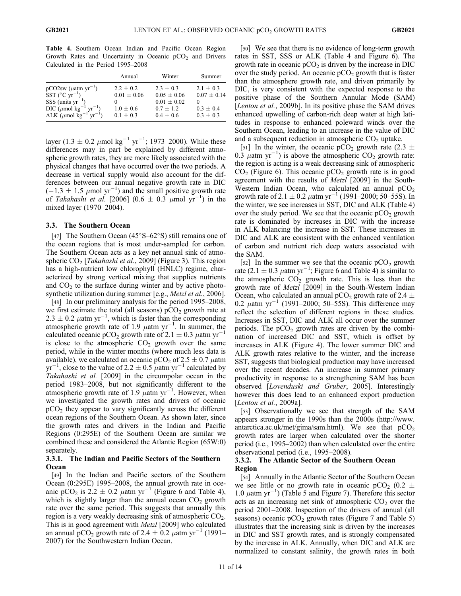Table 4. Southern Ocean Indian and Pacific Ocean Region Growth Rates and Uncertainty in Oceanic  $pCO<sub>2</sub>$  and Drivers Calculated in the Period 1995–2008

|                                                                                                                                                                                  | Annual                                                         | Winter                                                                          | Summer                                                         |
|----------------------------------------------------------------------------------------------------------------------------------------------------------------------------------|----------------------------------------------------------------|---------------------------------------------------------------------------------|----------------------------------------------------------------|
| pCO2sw ( $\mu$ atm yr <sup>-1</sup> )<br>SST (°C yr <sup>-1</sup> )<br>SSS (units yr <sup>-1</sup> )<br>DIC ( $\mu$ mol kg <sup>-1</sup> )<br>ALK ( $\mu$ mol kg <sup>-1</sup> ) | $2.2 + 0.2$<br>$0.01 \pm 0.06$<br>$1.0 \pm 0.6$<br>$0.1 + 0.3$ | $2.3 + 0.3$<br>$0.05 \pm 0.06$<br>$0.01 \pm 0.02$<br>$0.7 + 1.2$<br>$0.4 + 0.6$ | $2.1 + 0.3$<br>$0.07 \pm 0.14$<br>$0.3 + 0.4$<br>$0.3 \pm 0.3$ |

layer (1.3  $\pm$  0.2  $\mu$ mol kg<sup>-1</sup> yr<sup>-1</sup>; 1973–2000). While these differences may in part be explained by different atmospheric growth rates, they are more likely associated with the physical changes that have occurred over the two periods. A decrease in vertical supply would also account for the differences between our annual negative growth rate in DIC  $(-1.3 \pm 1.5 \mu \text{mol yr}^{-1})$  and the small positive growth rate of Takahashi et al. [2006]  $(0.6 \pm 0.3 \mu mol yr^{-1})$  in the mixed layer (1970–2004).

#### 3.3. The Southern Ocean

[47] The Southern Ocean  $(45^{\circ}S - 62^{\circ}S)$  still remains one of the ocean regions that is most under-sampled for carbon. The Southern Ocean acts as a key net annual sink of atmospheric  $CO<sub>2</sub>$  [Takahashi et al., 2009] (Figure 3). This region has a high-nutrient low chlorophyll (HNLC) regime, characterized by strong vertical mixing that supplies nutrients and  $CO<sub>2</sub>$  to the surface during winter and by active photosynthetic utilization during summer [e.g., *Metzl et al.*, 2006].

[48] In our preliminary analysis for the period 1995–2008, we first estimate the total (all seasons)  $pCO<sub>2</sub>$  growth rate at  $2.3 \pm 0.2$   $\mu$ atm yr<sup>-1</sup>, which is faster than the corresponding atmospheric growth rate of 1.9  $\mu$ atm yr<sup>-1</sup>. In summer, the calculated oceanic pCO<sub>2</sub> growth rate of 2.1  $\pm$  0.3  $\mu$ atm yr<sup>-1</sup> is close to the atmospheric  $CO<sub>2</sub>$  growth over the same period, while in the winter months (where much less data is available), we calculated an oceanic  $pCO_2$  of 2.5  $\pm$  0.7  $\mu$ atm  $yr^{-1}$ , close to the value of 2.2  $\pm$  0.5  $\mu$ atm yr<sup>-1</sup> calculated by Takahashi et al. [2009] in the circumpolar ocean in the period 1983–2008, but not significantly different to the atmospheric growth rate of 1.9  $\mu$ atm yr<sup>-1</sup>. However, when we investigated the growth rates and drivers of oceanic  $pCO<sub>2</sub>$  they appear to vary significantly across the different ocean regions of the Southern Ocean. As shown later, since the growth rates and drivers in the Indian and Pacific Regions (0:295E) of the Southern Ocean are similar we combined these and considered the Atlantic Region (65W:0) separately.

# 3.3.1. The Indian and Pacific Sectors of the Southern **Ocean**

[49] In the Indian and Pacific sectors of the Southern Ocean (0:295E) 1995–2008, the annual growth rate in oceanic pCO<sub>2</sub> is  $2.2 \pm 0.2$   $\mu$ atm yr<sup>-1</sup> (Figure 6 and Table 4), which is slightly larger than the annual ocean  $CO<sub>2</sub>$  growth rate over the same period. This suggests that annually this region is a very weakly decreasing sink of atmospheric  $CO<sub>2</sub>$ . This is in good agreement with Metzl [2009] who calculated an annual pCO<sub>2</sub> growth rate of 2.4  $\pm$  0.2  $\mu$ atm yr<sup>-1</sup> (1991– 2007) for the Southwestern Indian Ocean.

[50] We see that there is no evidence of long-term growth rates in SST, SSS or ALK (Table 4 and Figure 6). The growth rate in oceanic  $pCO<sub>2</sub>$  is driven by the increase in DIC over the study period. An oceanic  $pCO<sub>2</sub>$  growth that is faster than the atmosphere growth rate, and driven primarily by DIC, is very consistent with the expected response to the positive phase of the Southern Annular Mode (SAM) [*Lenton et al.*, 2009b]. In its positive phase the SAM drives enhanced upwelling of carbon-rich deep water at high latitudes in response to enhanced poleward winds over the Southern Ocean, leading to an increase in the value of DIC and a subsequent reduction in atmospheric  $CO<sub>2</sub>$  uptake.

[51] In the winter, the oceanic pCO<sub>2</sub> growth rate (2.3  $\pm$ 0.3  $\mu$ atm yr<sup>-1</sup>) is above the atmospheric CO<sub>2</sub> growth rate: the region is acting is a weak decreasing sink of atmospheric  $CO<sub>2</sub>$  (Figure 6). This oceanic  $pCO<sub>2</sub>$  growth rate is in good agreement with the results of *Metzl* [2009] in the South-Western Indian Ocean, who calculated an annual  $pCO<sub>2</sub>$ growth rate of 2.1  $\pm$  0.2  $\mu$ atm yr<sup>-1</sup> (1991–2000; 50–55S). In the winter, we see increases in SST, DIC and ALK (Table 4) over the study period. We see that the oceanic  $pCO<sub>2</sub>$  growth rate is dominated by increases in DIC with the increase in ALK balancing the increase in SST. These increases in DIC and ALK are consistent with the enhanced ventilation of carbon and nutrient rich deep waters associated with the SAM.

[52] In the summer we see that the oceanic  $pCO<sub>2</sub>$  growth rate  $(2.1 \pm 0.3 \mu \text{atm yr}^{-1}$ ; Figure 6 and Table 4) is similar to the atmospheric  $CO<sub>2</sub>$  growth rate. This is less than the growth rate of Metzl [2009] in the South-Western Indian Ocean, who calculated an annual pCO<sub>2</sub> growth rate of 2.4  $\pm$ 0.2  $\mu$ atm yr<sup>-1</sup> (1991–2000; 50–55S). This difference may reflect the selection of different regions in these studies. Increases in SST, DIC and ALK all occur over the summer periods. The  $pCO<sub>2</sub>$  growth rates are driven by the combination of increased DIC and SST, which is offset by increases in ALK (Figure 4). The lower summer DIC and ALK growth rates relative to the winter, and the increase SST, suggests that biological production may have increased over the recent decades. An increase in summer primary productivity in response to a strengthening SAM has been observed [Lovenduski and Gruber, 2005]. Interestingly however this does lead to an enhanced export production [*Lenton et al., 2009a*].

[53] Observationally we see that strength of the SAM appears stronger in the 1990s than the 2000s (http://www. antarctica.ac.uk/met/gjma/sam.html). We see that  $pCO<sub>2</sub>$ growth rates are larger when calculated over the shorter period (i.e., 1995–2002) than when calculated over the entire observational period (i.e., 1995–2008).

# 3.3.2. The Atlantic Sector of the Southern Ocean Region

[54] Annually in the Atlantic Sector of the Southern Ocean we see little or no growth rate in oceanic  $pCO_2$  (0.2  $\pm$ 1.0  $\mu$ atm yr<sup>-1</sup>) (Table 5 and Figure 7). Therefore this sector acts as an increasing net sink of atmospheric  $CO<sub>2</sub>$  over the period 2001–2008. Inspection of the drivers of annual (all seasons) oceanic  $pCO<sub>2</sub>$  growth rates (Figure 7 and Table 5) illustrates that the increasing sink is driven by the increases in DIC and SST growth rates, and is strongly compensated by the increase in ALK. Annually, when DIC and ALK are normalized to constant salinity, the growth rates in both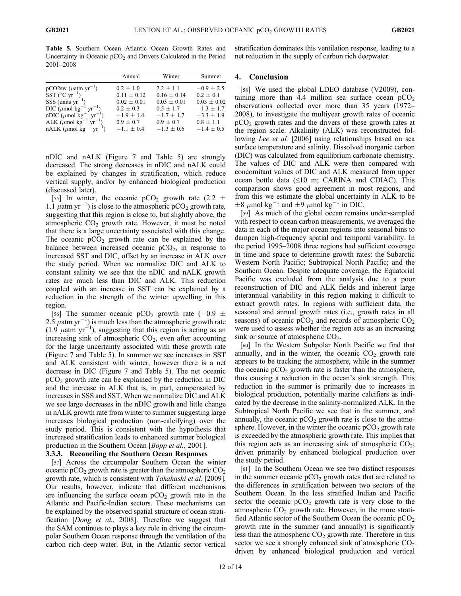Table 5. Southern Ocean Atlantic Ocean Growth Rates and Uncertainty in Oceanic  $pCO<sub>2</sub>$  and Drivers Calculated in the Period 2001–2008

|                                                      | Annual          | Winter          | Summer          |
|------------------------------------------------------|-----------------|-----------------|-----------------|
| $pCO2sw$ ( $\mu$ atm yr <sup>-1</sup> )              | $0.2 \pm 1.0$   | $2.2 + 1.1$     | $-0.9 \pm 2.5$  |
| SST $(^{\circ}C \text{ yr}^{-1})$                    | $0.11 + 0.12$   | $0.16 \pm 0.14$ | $0.2 + 0.1$     |
| $SSS$ (units $yr^{-1}$ )                             | $0.02 \pm 0.01$ | $0.03 \pm 0.01$ | $0.03 \pm 0.02$ |
| DIC ( $\mu$ mol kg <sup>-1</sup>                     | $0.2 + 0.3$     | $0.5 \pm 1.7$   | $-1.3 \pm 1.7$  |
| nDIC ( $\mu$ mol kg <sup>-1</sup> yr <sup>-1</sup>   | $-1.9 + 1.4$    | $-1.7 \pm 1.7$  | $-3.3 \pm 1.9$  |
| ALK ( $\mu$ mol kg <sup>-1</sup> yr <sup>-1</sup> )  | $0.9 \pm 0.7$   | $0.9 \pm 0.7$   | $0.8 \pm 1.1$   |
| nALK ( $\mu$ mol kg <sup>-1</sup> yr <sup>-1</sup> ) | $-1.1 \pm 0.4$  | $-1.3 \pm 0.6$  | $-1.4 \pm 0.5$  |

nDIC and nALK (Figure 7 and Table 5) are strongly decreased. The strong decreases in nDIC and nALK could be explained by changes in stratification, which reduce vertical supply, and/or by enhanced biological production (discussed later).

[55] In winter, the oceanic pCO<sub>2</sub> growth rate (2.2  $\pm$ 1.1  $\mu$ atm yr<sup>-1</sup>) is close to the atmospheric pCO<sub>2</sub> growth rate, suggesting that this region is close to, but slightly above, the atmospheric  $CO<sub>2</sub>$  growth rate. However, it must be noted that there is a large uncertainty associated with this change. The oceanic  $pCO<sub>2</sub>$  growth rate can be explained by the balance between increased oceanic  $pCO<sub>2</sub>$ , in response to increased SST and DIC, offset by an increase in ALK over the study period. When we normalize DIC and ALK to constant salinity we see that the nDIC and nALK growth rates are much less than DIC and ALK. This reduction coupled with an increase in SST can be explained by a reduction in the strength of the winter upwelling in this region.

[56] The summer oceanic pCO<sub>2</sub> growth rate  $(-0.9 \pm 0.01)$ 2.5  $\mu$ atm yr<sup>-1</sup>) is much less than the atmospheric growth rate  $(1.9 \mu \text{atm yr}^{-1})$ , suggesting that this region is acting as an increasing sink of atmospheric  $CO<sub>2</sub>$ , even after accounting for the large uncertainty associated with these growth rate (Figure 7 and Table 5). In summer we see increases in SST and ALK consistent with winter, however there is a net decrease in DIC (Figure 7 and Table 5). The net oceanic pCO2 growth rate can be explained by the reduction in DIC and the increase in ALK that is, in part, compensated by increases in SSS and SST. When we normalize DIC and ALK we see large decreases in the nDIC growth and little change in nALK growth rate from winter to summer suggesting large increases biological production (non-calcifying) over the study period. This is consistent with the hypothesis that increased stratification leads to enhanced summer biological production in the Southern Ocean [*Bopp et al.*, 2001].

# 3.3.3. Reconciling the Southern Ocean Responses

[57] Across the circumpolar Southern Ocean the winter oceanic  $pCO<sub>2</sub>$  growth rate is greater than the atmospheric  $CO<sub>2</sub>$ growth rate, which is consistent with Takahashi et al. [2009]. Our results, however, indicate that different mechanisms are influencing the surface ocean  $pCO<sub>2</sub>$  growth rate in the Atlantic and Pacific-Indian sectors. These mechanisms can be explained by the observed spatial structure of ocean stratification [Dong et al., 2008]. Therefore we suggest that the SAM continues to plays a key role in driving the circumpolar Southern Ocean response through the ventilation of the carbon rich deep water. But, in the Atlantic sector vertical stratification dominates this ventilation response, leading to a net reduction in the supply of carbon rich deepwater.

# 4. Conclusion

[58] We used the global LDEO database (V2009), containing more than 4.4 million sea surface ocean  $pCO<sub>2</sub>$ observations collected over more than 35 years (1972– 2008), to investigate the multiyear growth rates of oceanic  $pCO<sub>2</sub>$  growth rates and the drivers of these growth rates at the region scale. Alkalinity (ALK) was reconstructed following *Lee et al.* [2006] using relationships based on sea surface temperature and salinity. Dissolved inorganic carbon (DIC) was calculated from equilibrium carbonate chemistry. The values of DIC and ALK were then compared with concomitant values of DIC and ALK measured from upper ocean bottle data  $(\leq 10 \text{ m}; \text{CARINA}$  and CDIAC). This comparison shows good agreement in most regions, and from this we estimate the global uncertainty in ALK to be  $\pm 8 \ \mu$ mol kg<sup>-1</sup> and  $\pm 9 \ \mu$ mol kg<sup>-1</sup> in DIC.

[59] As much of the global ocean remains under-sampled with respect to ocean carbon measurements, we averaged the data in each of the major ocean regions into seasonal bins to dampen high-frequency spatial and temporal variability. In the period 1995–2008 three regions had sufficient coverage in time and space to determine growth rates: the Subarctic Western North Pacific; Subtropical North Pacific; and the Southern Ocean. Despite adequate coverage, the Equatorial Pacific was excluded from the analysis due to a poor reconstruction of DIC and ALK fields and inherent large interannual variability in this region making it difficult to extract growth rates. In regions with sufficient data, the seasonal and annual growth rates (i.e., growth rates in all seasons) of oceanic  $pCO<sub>2</sub>$  and records of atmospheric  $CO<sub>2</sub>$ were used to assess whether the region acts as an increasing sink or source of atmospheric  $CO<sub>2</sub>$ .

[60] In the Western Subpolar North Pacific we find that annually, and in the winter, the oceanic  $CO<sub>2</sub>$  growth rate appears to be tracking the atmosphere, while in the summer the oceanic  $pCO<sub>2</sub>$  growth rate is faster than the atmosphere, thus causing a reduction in the ocean's sink strength. This reduction in the summer is primarily due to increases in biological production, potentially marine calcifiers as indicated by the decrease in the salinity-normalized ALK. In the Subtropical North Pacific we see that in the summer, and annually, the oceanic  $pCO<sub>2</sub>$  growth rate is close to the atmosphere. However, in the winter the oceanic  $pCO<sub>2</sub>$  growth rate is exceeded by the atmospheric growth rate. This implies that this region acts as an increasing sink of atmospheric  $CO<sub>2</sub>$ ; driven primarily by enhanced biological production over the study period.

[61] In the Southern Ocean we see two distinct responses in the summer oceanic  $pCO<sub>2</sub>$  growth rates that are related to the differences in stratification between two sectors of the Southern Ocean. In the less stratified Indian and Pacific sector the oceanic  $pCO<sub>2</sub>$  growth rate is very close to the atmospheric  $CO<sub>2</sub>$  growth rate. However, in the more stratified Atlantic sector of the Southern Ocean the oceanic  $pCO<sub>2</sub>$ growth rate in the summer (and annually) is significantly less than the atmospheric  $CO<sub>2</sub>$  growth rate. Therefore in this sector we see a strongly enhanced sink of atmospheric  $CO<sub>2</sub>$ driven by enhanced biological production and vertical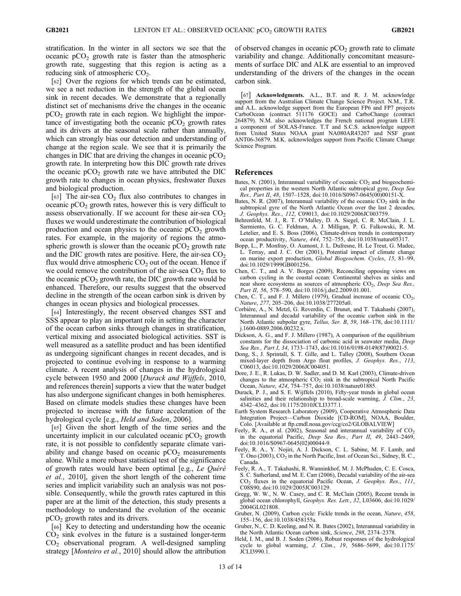stratification. In the winter in all sectors we see that the oceanic  $pCO<sub>2</sub>$  growth rate is faster than the atmospheric growth rate, suggesting that this region is acting as a reducing sink of atmospheric  $CO<sub>2</sub>$ .

[62] Over the regions for which trends can be estimated, we see a net reduction in the strength of the global ocean sink in recent decades. We demonstrate that a regionally distinct set of mechanisms drive the changes in the oceanic  $pCO<sub>2</sub>$  growth rate in each region. We highlight the importance of investigating both the oceanic  $pCO<sub>2</sub>$  growth rates and its drivers at the seasonal scale rather than annually, which can strongly bias our detection and understanding of change at the region scale. We see that it is primarily the changes in DIC that are driving the changes in oceanic  $pCO<sub>2</sub>$ growth rate. In interpreting how this DIC growth rate drives the oceanic  $pCO<sub>2</sub>$  growth rate we have attributed the DIC growth rate to changes in ocean physics, freshwater fluxes and biological production.

[63] The air-sea  $CO<sub>2</sub>$  flux also contributes to changes in oceanic  $pCO<sub>2</sub>$  growth rates, however this is very difficult to assess observationally. If we account for these air-sea  $CO<sub>2</sub>$ fluxes we would underestimate the contribution of biological production and ocean physics to the oceanic  $pCO<sub>2</sub>$  growth rates. For example, in the majority of regions the atmospheric growth is slower than the oceanic  $pCO<sub>2</sub>$  growth rate and the DIC growth rates are positive. Here, the air-sea  $CO<sub>2</sub>$ flux would drive atmospheric  $CO<sub>2</sub>$  out of the ocean. Hence if we could remove the contribution of the air-sea  $CO<sub>2</sub>$  flux to the oceanic  $pCO<sub>2</sub>$  growth rate, the DIC growth rate would be enhanced. Therefore, our results suggest that the observed decline in the strength of the ocean carbon sink is driven by changes in ocean physics and biological processes.

[64] Interestingly, the recent observed changes SST and SSS appear to play an important role in setting the character of the ocean carbon sinks through changes in stratification, vertical mixing and associated biological activities. SST is well measured as a satellite product and has been identified as undergoing significant changes in recent decades, and is projected to continue evolving in response to a warming climate. A recent analysis of changes in the hydrological cycle between 1950 and 2000 [Durack and Wijffels, 2010, and references therein] supports a view that the water budget has also undergone significant changes in both hemispheres. Based on climate models studies these changes have been projected to increase with the future acceleration of the hydrological cycle [e.g., *Held and Soden*, 2006].

[65] Given the short length of the time series and the uncertainty implicit in our calculated oceanic  $pCO<sub>2</sub>$  growth rate, it is not possible to confidently separate climate variability and change based on oceanic  $pCO<sub>2</sub>$  measurements alone. While a more robust statistical test of the significance of growth rates would have been optimal [e.g., Le Quéré et al., 2010], given the short length of the coherent time series and implicit variability such an analysis was not possible. Consequently, while the growth rates captured in this paper are at the limit of the detection, this study presents a methodology to understand the evolution of the oceanic  $pCO<sub>2</sub>$  growth rates and its drivers.

[66] Key to detecting and understanding how the oceanic  $CO<sub>2</sub>$  sink evolves in the future is a sustained longer-term  $CO<sub>2</sub>$  observational program. A well-designed sampling strategy [*Monteiro et al.*, 2010] should allow the attribution of observed changes in oceanic  $pCO<sub>2</sub>$  growth rate to climate variability and change. Additionally concomitant measurements of surface DIC and ALK are essential to an improved understanding of the drivers of the changes in the ocean carbon sink.

[67] Acknowledgments. A.L., B.T. and R. J. M. acknowledge support from the Australian Climate Change Science Project. N.M., T.R. and A.L. acknowledge support from the European FP6 and FP7 projects CarboOcean (contract 511176 GOCE) and CarboChange (contract 264879). N.M. also acknowledges the French national program LEFE a component of SOLAS-France. T.T and S.C.S. acknowledge support from United States NOAA grant NA080AR43207 and NSF grant ANT06-36879. M.K. acknowledges support from Pacific Climate Change Science Program.

# References

- Bates, N. (2001), Interannual variability of oceanic  $CO<sub>2</sub>$  and biogeochemical properties in the western North Atlantic subtropical gyre, Deep Sea Res., Part II, 48, 1507–1528, doi:10.1016/S0967-0645(00)00151-X.
- Bates, N. R. (2007), Interannual variability of the oceanic  $CO<sub>2</sub>$  sink in the subtropical gyre of the North Atlantic Ocean over the last 2 decades, J. Geophys. Res., 112, C09013, doi:10.1029/2006JC003759.
- Behrenfeld, M. J., R. T. O'Malley, D. A. Siegel, C. R. McClain, J. L. Sarmiento, G. C. Feldman, A. J. Milligan, P. G. Falkowski, R. M. Letelier, and E. S. Boss (2006), Climate-driven trends in contemporary ocean productivity, Nature, 444, 752–755, doi:10.1038/nature05317.
- Bopp, L., P. Monfray, O. Aumont, J. L. Dufresne, H. Le Treut, G. Madec, L. Terray, and J. C. Orr (2001), Potential impact of climate change on marine export production, Global Biogeochem. Cycles, 15, 81–99, doi:10.1029/1999GB001256.
- Chen, C. T., and A. V. Borges (2009), Reconciling opposing views on carbon cycling in the coastal ocean: Continental shelves as sinks and near shore ecosystems as sources of atmospheric CO<sub>2</sub>, Deep Sea Res., Part II, 56, 578-590, doi:10.1016/j.dsr2.2009.01.001.
- Chen, C. T., and F. J. Millero (1979), Gradual increase of oceanic  $CO<sub>2</sub>$ , Nature, 277, 205–206, doi:10.1038/277205a0.
- Corbière, A., N. Metzl, G. Reverdin, C. Brunet, and T. Takahashi (2007), Interannual and decadal variability of the oceanic carbon sink in the North Atlantic subpolar gyre, Tellus, Ser. B, 59, 168–178, doi:10.1111/ j.1600-0889.2006.00232.x.
- Dickson, A. G., and F. J. Millero (1987), A comparison of the equilibrium constants for the dissociation of carbonic acid in seawater media, Deep Sea Res., Part I, 34, 1733–1743, doi:10.1016/0198-0149(87)90021-5.
- Dong, S., J. Sprintall, S. T. Gille, and L. Talley (2008), Southern Ocean mixed-layer depth from Argo float profiles, J. Geophys. Res., 113, C06013, doi:10.1029/2006JC004051.
- Dore, J. E., R. Lukas, D. W. Sadler, and D. M. Karl (2003), Climate-driven changes to the atmospheric  $CO<sub>2</sub>$  sink in the subtropical North Pacific Ocean, Nature, 424, 754–757, doi:10.1038/nature01885.
- Durack, P. J., and S. E. Wijffels (2010), Fifty-year trends in global ocean salinities and their relationship to broad-scale warming, J. Clim., 23, 4342–4362, doi:10.1175/2010JCLI3377.1.
- Earth System Research Laboratory (2009), Cooperative Atmospheric Data Integration Project—Carbon Dioxide [CD-ROM], NOAA, Boulder, Colo. [Available at ftp.cmdl.noaa.gov/ccg/co2/GLOBALVIEW]
- Feely, R. A., et al. (2002), Seasonal and interannual variability of  $CO<sub>2</sub>$ in the equatorial Pacific, Deep Sea Res., Part II, 49, 2443–2469, doi:10.1016/S0967-0645(02)00044-9.
- Feely, R. A., Y. Nojiri, A. J. Dickson, C. L. Sabine, M. F. Lamb, and T. Ono (2003),  $CO<sub>2</sub>$  in the North Pacific, Inst. of Ocean Sci., Sidney, B. C., Canada.
- Feely, R. A., T. Takahashi, R. Wanninkhof, M. J. McPhaden, C. E. Cosca, S. C. Sutherland, and M. E. Carr (2006), Decadal variability of the air-sea  $CO<sub>2</sub>$  fluxes in the equatorial Pacific Ocean, J. Geophys. Res., 111, C08S90, doi:10.1029/2005JC003129.
- Gregg, W. W., N. W. Casey, and C. R. McClain (2005), Recent trends in global ocean chlorophyll, Geophys. Res. Lett., 32, L03606, doi:10.1029/ 2004GL021808.
- Gruber, N. (2009), Carbon cycle: Fickle trends in the ocean, Nature, 458, 155–156, doi:10.1038/458155a.
- Gruber, N., C. D. Keeling, and N. R. Bates (2002), Interannual variability in the North Atlantic Ocean carbon sink, Science, 298, 2374–2378.
- Held, I. M., and B. J. Soden (2006), Robust responses of the hydrological cycle to global warming, J. Clim., 19, 5686–5699, doi:10.1175/ JCLI3990.1.